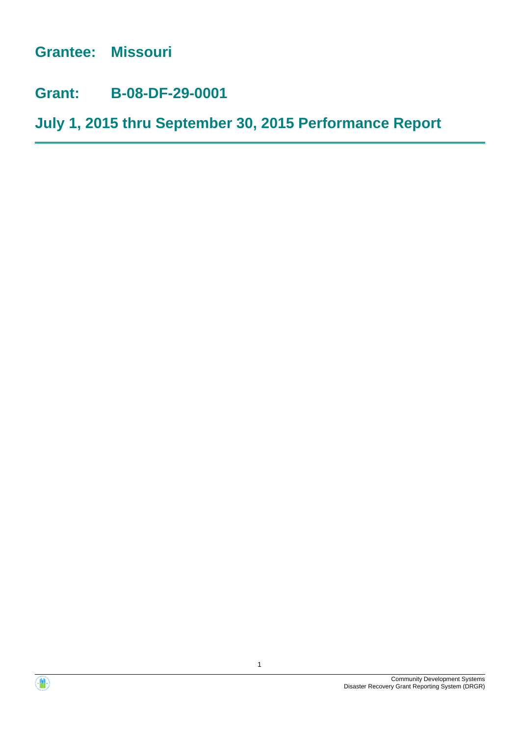**Grantee: Missouri**

**Grant: B-08-DF-29-0001**

**July 1, 2015 thru September 30, 2015 Performance Report**



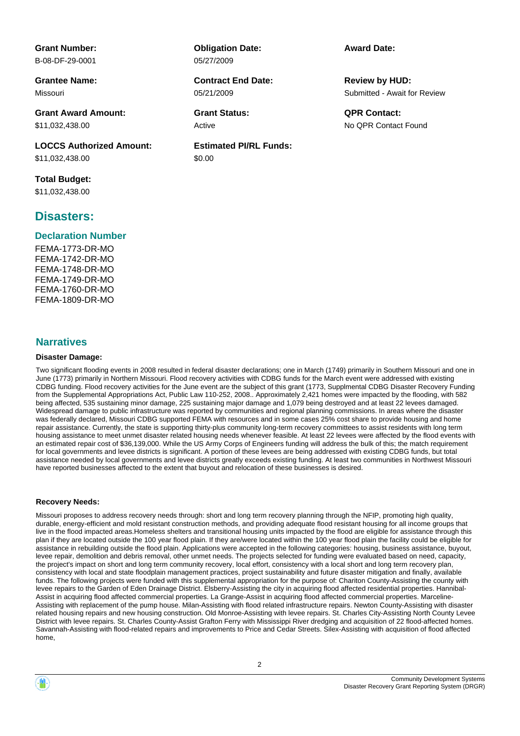**Grant Number:** B-08-DF-29-0001

**Grantee Name:** Missouri

**Grant Award Amount:** \$11,032,438.00

**LOCCS Authorized Amount:** \$11,032,438.00

**Total Budget:** \$11,032,438.00

# **Disasters:**

### **Declaration Number**

FEMA-1773-DR-MO FEMA-1742-DR-MO FEMA-1748-DR-MO FEMA-1749-DR-MO FEMA-1760-DR-MO FEMA-1809-DR-MO

### **Narratives**

### **Disaster Damage:**

**Obligation Date:** 05/27/2009

05/21/2009 **Contract End Date:**

Active

**Estimated PI/RL Funds:** \$0.00

**Award Date:**

Submitted - Await for Review **Review by HUD:**

**Grant Status: QPR Contact:** No QPR Contact Found

Two significant flooding events in 2008 resulted in federal disaster declarations; one in March (1749) primarily in Southern Missouri and one in June (1773) primarily in Northern Missouri. Flood recovery activities with CDBG funds for the March event were addressed with existing CDBG funding. Flood recovery activities for the June event are the subject of this grant (1773, Supplmental CDBG Disaster Recovery Funding from the Supplemental Appropriations Act, Public Law 110-252, 2008.. Approximately 2,421 homes were impacted by the flooding, with 582 being affected, 535 sustaining minor damage, 225 sustaining major damage and 1,079 being destroyed and at least 22 levees damaged. Widespread damage to public infrastructure was reported by communities and regional planning commissions. In areas where the disaster was federally declared, Missouri CDBG supported FEMA with resources and in some cases 25% cost share to provide housing and home repair assistance. Currently, the state is supporting thirty-plus community long-term recovery committees to assist residents with long term housing assistance to meet unmet disaster related housing needs whenever feasible. At least 22 levees were affected by the flood events with an estimated repair cost of \$36,139,000. While the US Army Corps of Engineers funding will address the bulk of this; the match requirement for local governments and levee districts is significant. A portion of these levees are being addressed with existing CDBG funds, but total assistance needed by local governments and levee districts greatly exceeds existing funding. At least two communities in Northwest Missouri have reported businesses affected to the extent that buyout and relocation of these businesses is desired.

### **Recovery Needs:**

Missouri proposes to address recovery needs through: short and long term recovery planning through the NFIP, promoting high quality, durable, energy-efficient and mold resistant construction methods, and providing adequate flood resistant housing for all income groups that live in the flood impacted areas.Homeless shelters and transitional housing units impacted by the flood are eligible for assistance through this plan if they are located outside the 100 year flood plain. If they are/were located within the 100 year flood plain the facility could be eligible for assistance in rebuilding outside the flood plain. Applications were accepted in the following categories: housing, business assistance, buyout, levee repair, demolition and debris removal, other unmet needs. The projects selected for funding were evaluated based on need, capacity, the project's impact on short and long term community recovery, local effort, consistency with a local short and long term recovery plan, consistency with local and state floodplain management practices, project sustainability and future disaster mitigation and finally, available funds. The following projects were funded with this supplemental appropriation for the purpose of: Chariton County-Assisting the county with levee repairs to the Garden of Eden Drainage District. Elsberry-Assisting the city in acquiring flood affected residential properties. Hannibal-Assist in acquiring flood affected commercial properties. La Grange-Assist in acquiring flood affected commercial properties. Marceline-Assisting with replacement of the pump house. Milan-Assisting with flood related infrastructure repairs. Newton County-Assisting with disaster related housing repairs and new housing construction. Old Monroe-Assisting with levee repairs. St. Charles City-Assisting North County Levee District with levee repairs. St. Charles County-Assist Grafton Ferry with Mississippi River dredging and acquisition of 22 flood-affected homes. Savannah-Assisting with flood-related repairs and improvements to Price and Cedar Streets. Silex-Assisting with acquisition of flood affected home,

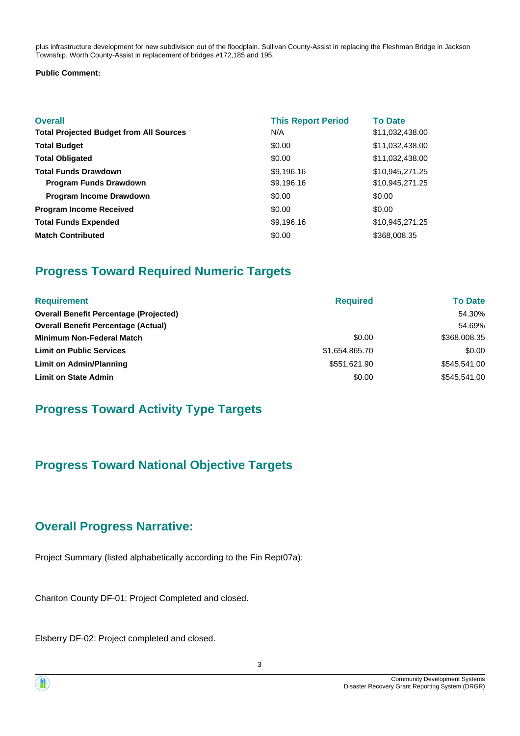plus infrastructure development for new subdivision out of the floodplain. Sullivan County-Assist in replacing the Fleshman Bridge in Jackson Township. Worth County-Assist in replacement of bridges #172,185 and 195.

### **Public Comment:**

| <b>Overall</b><br><b>Total Projected Budget from All Sources</b> | <b>This Report Period</b><br>N/A | <b>To Date</b><br>\$11,032,438.00 |
|------------------------------------------------------------------|----------------------------------|-----------------------------------|
| <b>Total Budget</b>                                              | \$0.00                           | \$11,032,438.00                   |
| <b>Total Obligated</b>                                           | \$0.00                           | \$11,032,438.00                   |
| <b>Total Funds Drawdown</b>                                      | \$9,196.16                       | \$10,945,271.25                   |
| <b>Program Funds Drawdown</b>                                    | \$9,196.16                       | \$10,945,271.25                   |
| <b>Program Income Drawdown</b>                                   | \$0.00                           | \$0.00                            |
| <b>Program Income Received</b>                                   | \$0.00                           | \$0.00                            |
| <b>Total Funds Expended</b>                                      | \$9,196.16                       | \$10,945,271.25                   |
| <b>Match Contributed</b>                                         | \$0.00                           | \$368,008.35                      |

# **Progress Toward Required Numeric Targets**

| <b>Requirement</b>                            | <b>Required</b> | <b>To Date</b> |
|-----------------------------------------------|-----------------|----------------|
| <b>Overall Benefit Percentage (Projected)</b> |                 | 54.30%         |
| <b>Overall Benefit Percentage (Actual)</b>    |                 | 54.69%         |
| <b>Minimum Non-Federal Match</b>              | \$0.00          | \$368,008.35   |
| <b>Limit on Public Services</b>               | \$1,654,865.70  | \$0.00         |
| Limit on Admin/Planning                       | \$551,621.90    | \$545,541.00   |
| <b>Limit on State Admin</b>                   | \$0.00          | \$545,541.00   |

# **Progress Toward Activity Type Targets**

# **Progress Toward National Objective Targets**

# **Overall Progress Narrative:**

Project Summary (listed alphabetically according to the Fin Rept07a):

Chariton County DF-01: Project Completed and closed.

Elsberry DF-02: Project completed and closed.

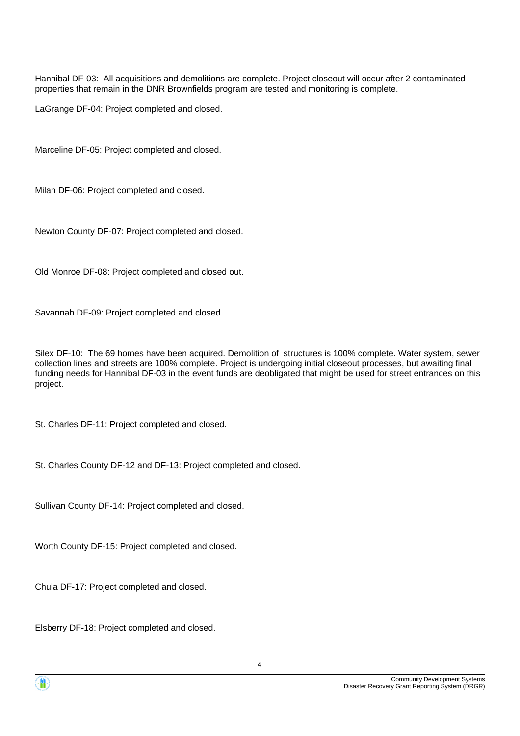Hannibal DF-03: All acquisitions and demolitions are complete. Project closeout will occur after 2 contaminated properties that remain in the DNR Brownfields program are tested and monitoring is complete.

LaGrange DF-04: Project completed and closed.

Marceline DF-05: Project completed and closed.

Milan DF-06: Project completed and closed.

Newton County DF-07: Project completed and closed.

Old Monroe DF-08: Project completed and closed out.

Savannah DF-09: Project completed and closed.

Silex DF-10: The 69 homes have been acquired. Demolition of structures is 100% complete. Water system, sewer collection lines and streets are 100% complete. Project is undergoing initial closeout processes, but awaiting final funding needs for Hannibal DF-03 in the event funds are deobligated that might be used for street entrances on this project.

St. Charles DF-11: Project completed and closed.

St. Charles County DF-12 and DF-13: Project completed and closed.

Sullivan County DF-14: Project completed and closed.

Worth County DF-15: Project completed and closed.

Chula DF-17: Project completed and closed.

Elsberry DF-18: Project completed and closed.

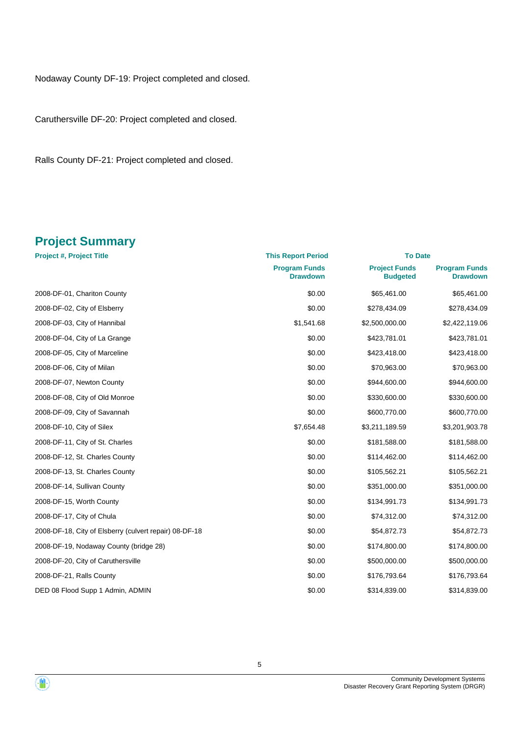Nodaway County DF-19: Project completed and closed.

Caruthersville DF-20: Project completed and closed.

Ralls County DF-21: Project completed and closed.

# **Project Summary**

| <b>Project #, Project Title</b>                        | <b>This Report Period</b>               | <b>To Date</b>                          |                                         |
|--------------------------------------------------------|-----------------------------------------|-----------------------------------------|-----------------------------------------|
|                                                        | <b>Program Funds</b><br><b>Drawdown</b> | <b>Project Funds</b><br><b>Budgeted</b> | <b>Program Funds</b><br><b>Drawdown</b> |
| 2008-DF-01, Chariton County                            | \$0.00                                  | \$65,461.00                             | \$65,461.00                             |
| 2008-DF-02, City of Elsberry                           | \$0.00                                  | \$278,434.09                            | \$278,434.09                            |
| 2008-DF-03, City of Hannibal                           | \$1,541.68                              | \$2,500,000.00                          | \$2,422,119.06                          |
| 2008-DF-04, City of La Grange                          | \$0.00                                  | \$423,781.01                            | \$423,781.01                            |
| 2008-DF-05, City of Marceline                          | \$0.00                                  | \$423,418.00                            | \$423,418.00                            |
| 2008-DF-06, City of Milan                              | \$0.00                                  | \$70,963.00                             | \$70,963.00                             |
| 2008-DF-07, Newton County                              | \$0.00                                  | \$944,600.00                            | \$944,600.00                            |
| 2008-DF-08, City of Old Monroe                         | \$0.00                                  | \$330,600.00                            | \$330,600.00                            |
| 2008-DF-09, City of Savannah                           | \$0.00                                  | \$600,770.00                            | \$600,770.00                            |
| 2008-DF-10, City of Silex                              | \$7,654.48                              | \$3,211,189.59                          | \$3,201,903.78                          |
| 2008-DF-11, City of St. Charles                        | \$0.00                                  | \$181,588.00                            | \$181,588.00                            |
| 2008-DF-12, St. Charles County                         | \$0.00                                  | \$114,462.00                            | \$114,462.00                            |
| 2008-DF-13, St. Charles County                         | \$0.00                                  | \$105,562.21                            | \$105,562.21                            |
| 2008-DF-14, Sullivan County                            | \$0.00                                  | \$351,000.00                            | \$351,000.00                            |
| 2008-DF-15, Worth County                               | \$0.00                                  | \$134,991.73                            | \$134,991.73                            |
| 2008-DF-17, City of Chula                              | \$0.00                                  | \$74,312.00                             | \$74,312.00                             |
| 2008-DF-18, City of Elsberry (culvert repair) 08-DF-18 | \$0.00                                  | \$54,872.73                             | \$54,872.73                             |
| 2008-DF-19, Nodaway County (bridge 28)                 | \$0.00                                  | \$174,800.00                            | \$174,800.00                            |
| 2008-DF-20, City of Caruthersville                     | \$0.00                                  | \$500,000.00                            | \$500,000.00                            |
| 2008-DF-21, Ralls County                               | \$0.00                                  | \$176,793.64                            | \$176,793.64                            |
| DED 08 Flood Supp 1 Admin, ADMIN                       | \$0.00                                  | \$314,839.00                            | \$314,839.00                            |



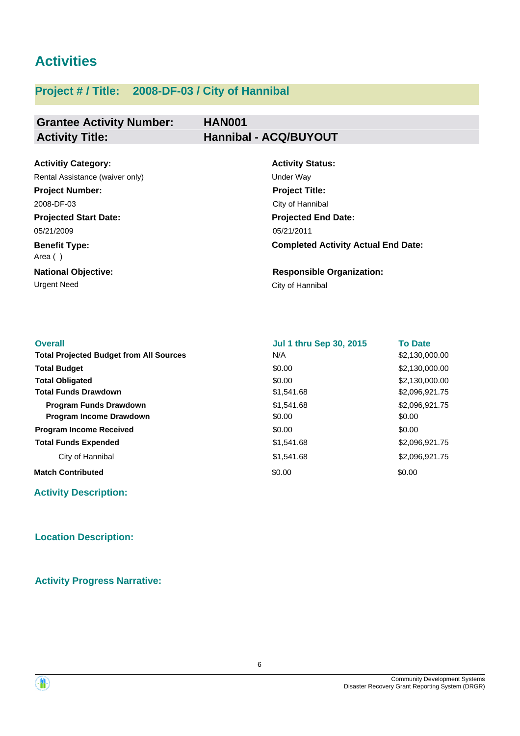# **Activities**

# **Project # / Title: 2008-DF-03 / City of Hannibal**

# **Grantee Activity Number: Activity Title: Hannibal - ACQ/BUYOUT**

# **HAN001**

| <b>Activitiy Category:</b>         | <b>Activity Status:</b>                    |
|------------------------------------|--------------------------------------------|
| Rental Assistance (waiver only)    | Under Way                                  |
| <b>Project Number:</b>             | <b>Project Title:</b>                      |
| 2008-DF-03                         | City of Hannibal                           |
| <b>Projected Start Date:</b>       | <b>Projected End Date:</b>                 |
| 05/21/2009                         | 05/21/2011                                 |
| <b>Benefit Type:</b><br>Area $( )$ | <b>Completed Activity Actual End Date:</b> |
| <b>National Objective:</b>         | <b>Responsible Organization:</b>           |
| Urgent Need                        | City of Hannibal                           |

| \$2,130,000.00<br>N/A<br>\$2,130,000.00<br>\$0.00<br>\$2,130,000.00<br>\$0.00<br>\$1,541.68<br>\$2,096,921.75<br>\$2,096,921.75<br>\$1.541.68<br><b>Program Funds Drawdown</b><br>Program Income Drawdown<br>\$0.00<br>\$0.00<br>\$0.00<br>\$0.00<br>\$1,541.68<br>\$2,096,921.75<br>\$2,096,921.75<br>\$1,541.68<br>City of Hannibal<br>\$0.00<br>\$0.00 | <b>Overall</b>                                 | <b>Jul 1 thru Sep 30, 2015</b> | <b>To Date</b> |
|-----------------------------------------------------------------------------------------------------------------------------------------------------------------------------------------------------------------------------------------------------------------------------------------------------------------------------------------------------------|------------------------------------------------|--------------------------------|----------------|
|                                                                                                                                                                                                                                                                                                                                                           | <b>Total Projected Budget from All Sources</b> |                                |                |
|                                                                                                                                                                                                                                                                                                                                                           | <b>Total Budget</b>                            |                                |                |
|                                                                                                                                                                                                                                                                                                                                                           | <b>Total Obligated</b>                         |                                |                |
|                                                                                                                                                                                                                                                                                                                                                           | <b>Total Funds Drawdown</b>                    |                                |                |
|                                                                                                                                                                                                                                                                                                                                                           |                                                |                                |                |
|                                                                                                                                                                                                                                                                                                                                                           |                                                |                                |                |
|                                                                                                                                                                                                                                                                                                                                                           | <b>Program Income Received</b>                 |                                |                |
|                                                                                                                                                                                                                                                                                                                                                           | <b>Total Funds Expended</b>                    |                                |                |
|                                                                                                                                                                                                                                                                                                                                                           |                                                |                                |                |
|                                                                                                                                                                                                                                                                                                                                                           | <b>Match Contributed</b>                       |                                |                |

**Activity Description:**

# **Location Description:**

**Activity Progress Narrative:**

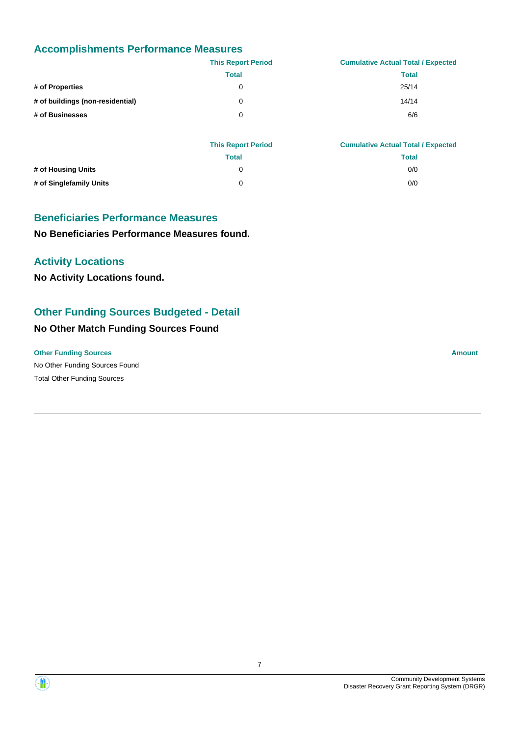# **Accomplishments Performance Measures**

|                                  | <b>This Report Period</b> | <b>Cumulative Actual Total / Expected</b> |
|----------------------------------|---------------------------|-------------------------------------------|
|                                  | <b>Total</b>              | <b>Total</b>                              |
| # of Properties                  | 0                         | 25/14                                     |
| # of buildings (non-residential) | 0                         | 14/14                                     |
| # of Businesses                  | 0                         | 6/6                                       |
|                                  |                           |                                           |

|                         | <b>This Report Period</b> | <b>Cumulative Actual Total / Expected</b> |
|-------------------------|---------------------------|-------------------------------------------|
|                         | Total                     | <b>Total</b>                              |
| # of Housing Units      |                           | 0/0                                       |
| # of Singlefamily Units | 0                         | 0/0                                       |

### **Beneficiaries Performance Measures**

**No Beneficiaries Performance Measures found.**

# **Activity Locations**

**No Activity Locations found.**

# **Other Funding Sources Budgeted - Detail**

# **No Other Match Funding Sources Found**

### **Other Funding Sources Amount Amount Amount Amount Amount Amount Amount**

No Other Funding Sources Found Total Other Funding Sources



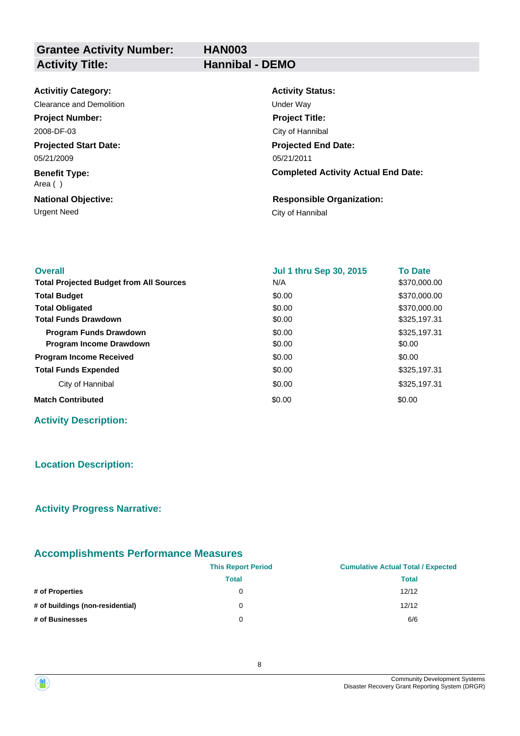**HAN003**

# **Grantee Activity Number:** Activity Title: **Hannibal - DEMO**

| <b>Activitiy Category:</b>      | <b>Activity Status:</b>                    |
|---------------------------------|--------------------------------------------|
| Clearance and Demolition        | Under Way                                  |
| <b>Project Number:</b>          | <b>Project Title:</b>                      |
| 2008-DF-03                      | City of Hannibal                           |
| <b>Projected Start Date:</b>    | <b>Projected End Date:</b>                 |
| 05/21/2009                      | 05/21/2011                                 |
| <b>Benefit Type:</b><br>Area () | <b>Completed Activity Actual End Date:</b> |
| <b>National Objective:</b>      | <b>Responsible Organization:</b>           |
| Urgent Need                     | City of Hannibal                           |

| <b>Overall</b>                                 | <b>Jul 1 thru Sep 30, 2015</b> | <b>To Date</b> |
|------------------------------------------------|--------------------------------|----------------|
| <b>Total Projected Budget from All Sources</b> | N/A                            | \$370,000.00   |
| <b>Total Budget</b>                            | \$0.00                         | \$370,000.00   |
| <b>Total Obligated</b>                         | \$0.00                         | \$370,000.00   |
| <b>Total Funds Drawdown</b>                    | \$0.00                         | \$325,197.31   |
| <b>Program Funds Drawdown</b>                  | \$0.00                         | \$325,197.31   |
| <b>Program Income Drawdown</b>                 | \$0.00                         | \$0.00         |
| <b>Program Income Received</b>                 | \$0.00                         | \$0.00         |
| <b>Total Funds Expended</b>                    | \$0.00                         | \$325.197.31   |
| City of Hannibal                               | \$0.00                         | \$325,197.31   |
| <b>Match Contributed</b>                       | \$0.00                         | \$0.00         |

# **Activity Description:**

# **Location Description:**

# **Activity Progress Narrative:**

# **Accomplishments Performance Measures**

|                                  | <b>This Report Period</b> | <b>Cumulative Actual Total / Expected</b> |
|----------------------------------|---------------------------|-------------------------------------------|
|                                  | Total                     | <b>Total</b>                              |
| # of Properties                  | 0                         | 12/12                                     |
| # of buildings (non-residential) | 0                         | 12/12                                     |
| # of Businesses                  | 0                         | 6/6                                       |

8



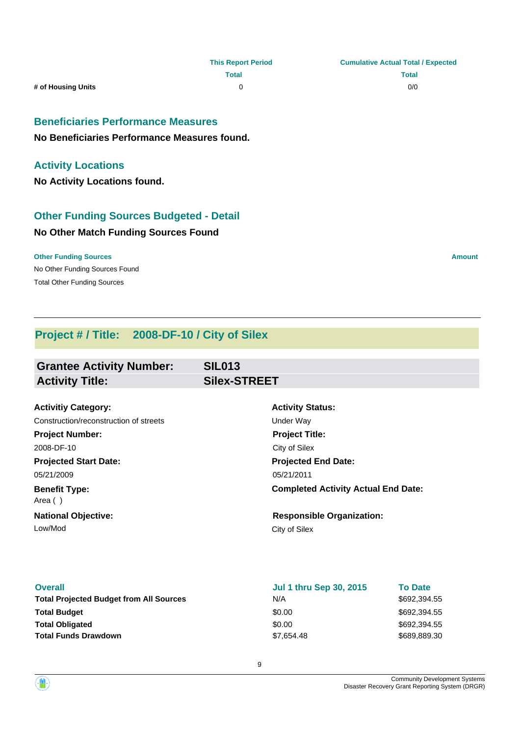### **Beneficiaries Performance Measures**

**No Beneficiaries Performance Measures found.**

### **Activity Locations**

**No Activity Locations found.**

# **Other Funding Sources Budgeted - Detail**

### **No Other Match Funding Sources Found**

No Other Funding Sources Found **Other Funding Sources Amount Amount Amount Amount Amount Amount Amount** Total Other Funding Sources

# **Project # / Title: 2008-DF-10 / City of Silex**

| <b>Grantee Activity Number:</b>        | <b>SIL013</b>                              |  |
|----------------------------------------|--------------------------------------------|--|
| <b>Activity Title:</b>                 | <b>Silex-STREET</b>                        |  |
|                                        |                                            |  |
| <b>Activitiy Category:</b>             | <b>Activity Status:</b>                    |  |
| Construction/reconstruction of streets | Under Way                                  |  |
| <b>Project Number:</b>                 | <b>Project Title:</b>                      |  |
| 2008-DF-10                             | City of Silex                              |  |
| <b>Projected Start Date:</b>           | <b>Projected End Date:</b>                 |  |
| 05/21/2009                             | 05/21/2011                                 |  |
| <b>Benefit Type:</b><br>Area ()        | <b>Completed Activity Actual End Date:</b> |  |
| <b>National Objective:</b>             | <b>Responsible Organization:</b>           |  |
| Low/Mod                                | City of Silex                              |  |
|                                        |                                            |  |
|                                        |                                            |  |
|                                        |                                            |  |

| <b>Overall</b>                                 | <b>Jul 1 thru Sep 30, 2015</b> | <b>To Date</b> |
|------------------------------------------------|--------------------------------|----------------|
| <b>Total Projected Budget from All Sources</b> | N/A                            | \$692.394.55   |
| <b>Total Budget</b>                            | \$0.00                         | \$692.394.55   |
| <b>Total Obligated</b>                         | \$0.00                         | \$692.394.55   |
| <b>Total Funds Drawdown</b>                    | \$7,654.48                     | \$689,889.30   |



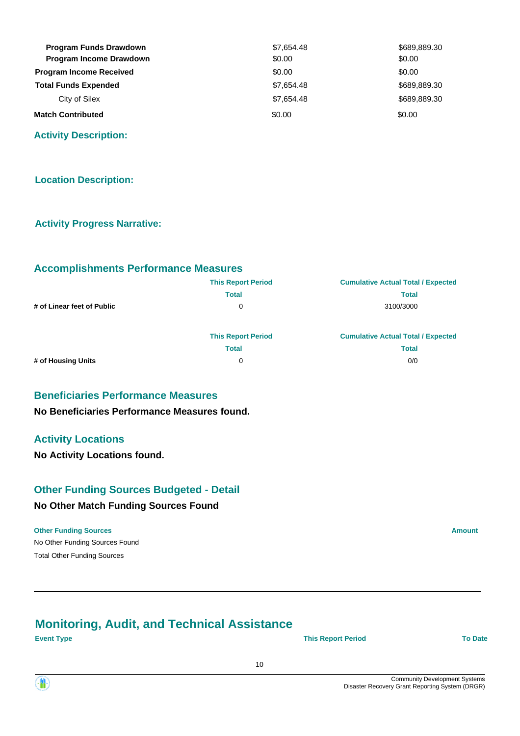| <b>Program Funds Drawdown</b>  | \$7,654.48 | \$689,889.30 |
|--------------------------------|------------|--------------|
| <b>Program Income Drawdown</b> | \$0.00     | \$0.00       |
| <b>Program Income Received</b> | \$0.00     | \$0.00       |
| <b>Total Funds Expended</b>    | \$7,654.48 | \$689,889.30 |
| City of Silex                  | \$7,654.48 | \$689,889,30 |
| <b>Match Contributed</b>       | \$0.00     | \$0.00       |

**Activity Description:**

### **Location Description:**

### **Activity Progress Narrative:**

### **Accomplishments Performance Measures**

|                            | <b>This Report Period</b> | <b>Cumulative Actual Total / Expected</b> |
|----------------------------|---------------------------|-------------------------------------------|
|                            | <b>Total</b>              | <b>Total</b>                              |
| # of Linear feet of Public | 0                         | 3100/3000                                 |
|                            | <b>This Report Period</b> | <b>Cumulative Actual Total / Expected</b> |
|                            | <b>Total</b>              | <b>Total</b>                              |
| # of Housing Units         | 0                         | 0/0                                       |

### **Beneficiaries Performance Measures**

**No Beneficiaries Performance Measures found.**

### **Activity Locations**

**No Activity Locations found.**

### **Other Funding Sources Budgeted - Detail**

### **No Other Match Funding Sources Found**

### No Other Funding Sources Found **Other Funding Sources Amount Amount Amount Amount Amount Amount Amount**

Total Other Funding Sources

# **Monitoring, Audit, and Technical Assistance**

**Event Type This Report Period To Date**